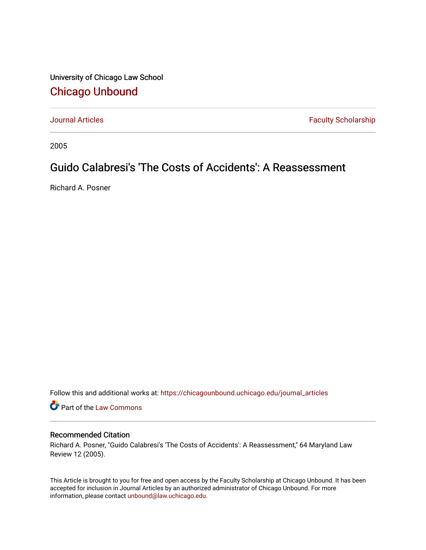University of Chicago Law School [Chicago Unbound](https://chicagounbound.uchicago.edu/)

[Journal Articles](https://chicagounbound.uchicago.edu/journal_articles) **Faculty Scholarship Faculty Scholarship** 

2005

# Guido Calabresi's 'The Costs of Accidents': A Reassessment

Richard A. Posner

Follow this and additional works at: [https://chicagounbound.uchicago.edu/journal\\_articles](https://chicagounbound.uchicago.edu/journal_articles?utm_source=chicagounbound.uchicago.edu%2Fjournal_articles%2F1875&utm_medium=PDF&utm_campaign=PDFCoverPages) 

Part of the [Law Commons](http://network.bepress.com/hgg/discipline/578?utm_source=chicagounbound.uchicago.edu%2Fjournal_articles%2F1875&utm_medium=PDF&utm_campaign=PDFCoverPages)

### Recommended Citation

Richard A. Posner, "Guido Calabresi's 'The Costs of Accidents': A Reassessment," 64 Maryland Law Review 12 (2005).

This Article is brought to you for free and open access by the Faculty Scholarship at Chicago Unbound. It has been accepted for inclusion in Journal Articles by an authorized administrator of Chicago Unbound. For more information, please contact [unbound@law.uchicago.edu](mailto:unbound@law.uchicago.edu).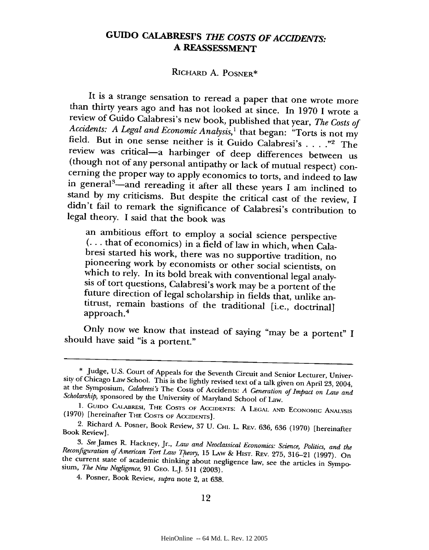## **GUIDO CALABRESI'S** *THE COSTS OF ACCIDENTS:* **A REASSESSMENT**

### RicHARD A. POSNER\*

It is a strange sensation to reread a paper that one wrote more<br>than thirty years ago and has not looked at since. In 1970 I wrote a<br>review of Guido Calabresi's new book, published that year, *The Costs of*<br>*Accidents: A* in general<sup>3</sup>—and rereading it after all these years I am inclined to stand by my criticisms. But despite the critical cast of the review, I didn't fail to remark the significance of Calabresi's contribution to legal theory. I said that the book was

an ambitious effort to employ a social science perspective<br>(... that of economics) in a field of law in which, when Cala-<br>bresi started his work, there was no supportive tradition, no<br>pioneering work by economists or othe approach.'

Only now we know that instead of saying "may be a portent" I should have said "is a portent."

<sup>\*</sup> Judge, U.S. Court of Appeals for the Seventh Circuit and Senior Lecturer, University of Chicago Law School. This is the lightly revised text of a talk given on April 23, 2004, at the Symposium, *Calabresi's* The Costs of

<sup>1.</sup> GuIDO CALABRESI, THE **COSTS OF** ACCIDENTS: A **LEGAL AND** ECONOMIC ANALYSIS (1970) [hereinafter THE **COSTS OF** ACCIDENTS].

<sup>2.</sup> Richard A. Posner, Book Review, 37 U. **CHI.** L. REv. 636, 636 (1970) [hereinafter Book Review].

<sup>3.</sup> See James R. Hackney, Jr., Law and Neoclassical Economics: Science, Politics, and the Reconfiguration of American Tort Law Theory, 15 Law & Hist. Rev. 275, 316–21 (1997). On the current state of academic thinking about

<sup>4.</sup> Posner, Book Review, *supra* note 2, at 638.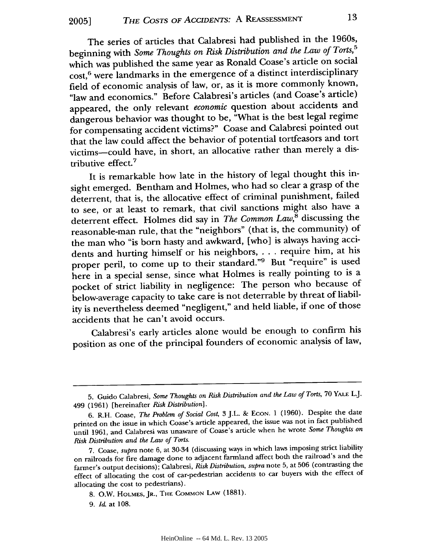The series of articles that Calabresi had published in the 1960s, beginning with *Some Thoughts on Risk Distribution and the Law of Torts,5* which was published the same year as Ronald Coase's article on social cost,6 were landmarks in the emergence of a distinct interdisciplinary field of economic analysis of law, or, as it is more commonly known, "law and economics." Before Calabresi's articles (and Coase's article) appeared, the only relevant *economic* question about accidents and dangerous behavior was thought to be, "What is the best legal regime for compensating accident victims?" Coase and Calabresi pointed out that the law could affect the behavior of potential tortfeasors and tort victims-could have, in short, an allocative rather than merely a distributive effect.<sup>7</sup>

It is remarkable how late in the history of legal thought this insight emerged. Bentham and Holmes, who had so clear a grasp of the deterrent, that is, the allocative effect of criminal punishment, failed to see, or at least to remark, that civil sanctions might also have a deterrent effect. Holmes did say in *The Common Law,8* discussing the reasonable-man rule, that the "neighbors" (that is, the community) of the man who "is born hasty and awkward, [who] is always having accidents and hurting himself or his neighbors, . . . require him, at his proper peril, to come up to their standard."9 But "require" is used here in a special sense, since what Holmes is really pointing to is a pocket of strict liability in negligence: The person who because of below-average capacity to take care is not deterrable by threat of liability is nevertheless deemed "negligent," and held liable, if one of those accidents that he can't avoid occurs.

Calabresi's early articles alone would be enough to confirm his position as one of the principal founders of economic analysis of law,

<sup>5.</sup> Guido Calabresi, *Some Thoughts on Risk Distribution and the Law of Torts,* 70 YALE L.J. 499 (1961) [hereinafter *Risk Distribution].*

<sup>6.</sup> R.H. Coase, *The Problem of Social Cost,* 3 J.L. & ECON. 1 (1960). Despite the date printed on the issue in which Coase's article appeared, the issue was not in fact published until 1961, and Calabresi was unaware of Coase's article when he wrote *Some Thoughts on Risk Distribution and the Law of Torts.*

<sup>7.</sup> Coase, *supra* note 6, at 30-34 (discussing ways in which laws imposing strict liability on railroads for fire damage done to adjacent farmland affect both the railroad's and the farmer's output decisions); Calabresi, *Risk Distribution, supra* note 5, at 506 (contrasting the effect of allocating the cost of car-pedestrian accidents to car buyers with the effect of allocating the cost to pedestrians).

<sup>8.</sup> O.W. **HOLMES,** JR., THE **COMMON** LAw (1881).

<sup>9.</sup> Id. at 108.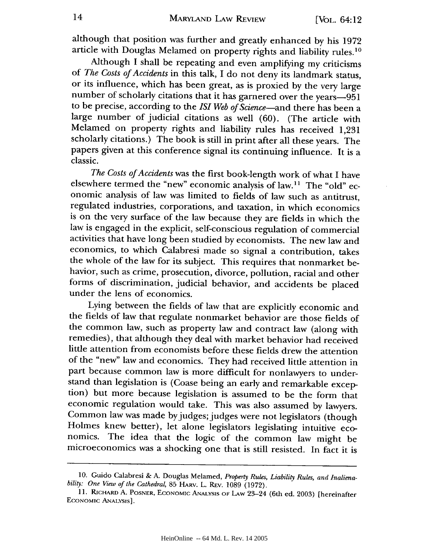although that position was further and greatly enhanced by his 1972 article with Douglas Melamed on property rights and liability rules.<sup>10</sup>

Although I shall be repeating and even amplifying my criticisms of *The Costs of Accidents* in this talk, I do not deny its landmark status, or its influence, which has been great, as is proxied by the very large number of scholarly citations that it has garnered over the years-951 to be precise, according to the *ISI Web of Science-and* there has been a large number of judicial citations as well (60). (The article with Melamed on property rights and liability rules has received **1,231** scholarly citations.) The book is still in print after all these years. The papers given at this conference signal its continuing influence. It is a classic.

*The Costs of Accidents* was the first book-length work of what I have elsewhere termed the "new" economic analysis of law.11 The "old" economic analysis of law was limited to fields of law such as antitrust, regulated industries, corporations, and taxation, in which economics is on the very surface of the law because they are fields in which the law is engaged in the explicit, self-conscious regulation of commercial activities that have long been studied by economists. The new law and economics, to which Calabresi made so signal a contribution, takes the whole of the law for its subject. This requires that nonmarket behavior, such as crime, prosecution, divorce, pollution, racial and other forms of discrimination, judicial behavior, and accidents be placed under the lens of economics.

Lying between the fields of law that are explicitly economic and the fields of law that regulate nonmarket behavior are those fields of the common law, such as property law and contract law (along with remedies), that although they deal with market behavior had received little attention from economists before these fields drew the attention of the "new" law and economics. They had received little attention in part because common law is more difficult for nonlawyers to understand than legislation is (Coase being an early and remarkable excep- tion) but more because legislation is assumed to be the form that economic regulation would take. This was also assumed by lawyers. Common law was made by judges; judges were not legislators (though Holmes knew better), let alone legislators legislating intuitive economics. The idea that the logic of the common law might be microeconomics was a shocking one that is still resisted. In fact it is

<sup>10.</sup> Guido Calabresi & A. Douglas Melamed, *Property Rules, Liability Rules, and Inalienability: One View of the Cathedral,* 85 HARV. L. REv. 1089 (1972).

<sup>11.</sup> RicHARD A. POSNER, ECONOMIC **ANALYSIS** OF LAW 23-24 (6th ed. 2003) [hereinafter ECONOMIC ANALysis].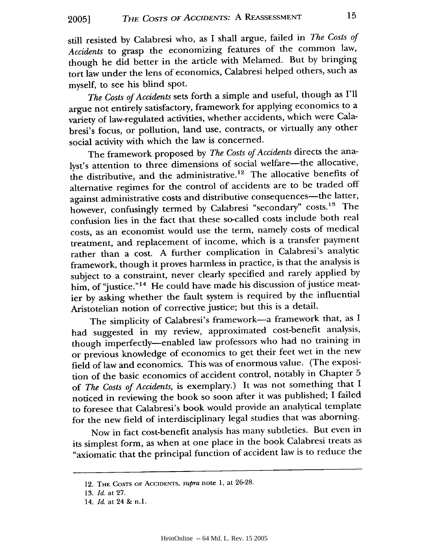still resisted by Calabresi who, as I shall argue, failed in *The Costs of Accidents* to grasp the economizing features of the common law, though he did better in the article with Melamed. But by bringing tort law under the lens of economics, Calabresi helped others, such as myself, to see his blind spot.

*The Costs of Accidents* sets forth a simple and useful, though as I'll argue not entirely satisfactory, framework for applying economics to a variety of law-regulated activities, whether accidents, which were Calabresi's focus, or pollution, land use, contracts, or virtually any other social activity with which the law is concerned.

The framework proposed by *The Costs of Accidents* directs the analyst's attention to three dimensions of social welfare-the allocative, the distributive, and the administrative.12 The allocative benefits of alternative regimes for the control of accidents are to be traded off against administrative costs and distributive consequences-the latter, however, confusingly termed by Calabresi "secondary" costs.<sup>13</sup> The confusion lies in the fact that these so-called costs include both real costs, as an economist would use the term, namely costs of medical treatment, and replacement of income, which is a transfer payment rather than a cost. A further complication in Calabresi's analytic framework, though it proves harmless in practice, is that the analysis is subject to a constraint, never clearly specified and rarely applied by him, of "justice."<sup>14</sup> He could have made his discussion of justice meatier by asking whether the fault system is required by the influential Aristotelian notion of corrective justice; but this is a detail.

The simplicity of Calabresi's framework-a framework that, as I had suggested in my review, approximated cost-benefit analysis, though imperfectly-enabled law professors who had no training in or previous knowledge of economics to get their feet wet in the new field of law and economics. This was of enormous value. (The exposition of the basic economics of accident control, notably in Chapter 5 of *The Costs of Accidents,* is exemplary.) It was not something that I noticed in reviewing the book so soon after it was published; I failed to foresee that Calabresi's book would provide an analytical template for the new field of interdisciplinary legal studies that was aborning.

Now in fact cost-benefit analysis has many subtleties. But even in its simplest form, as when at one place in the book Calabresi treats as "axiomatic that the principal function of accident law is to reduce the

<sup>12.</sup> THE COSTS oF AccIDENTS, *supra* note 1, at 26-28.

<sup>13.</sup> *Id.* at 27.

<sup>14.</sup> *Id.* at 24 & n.1.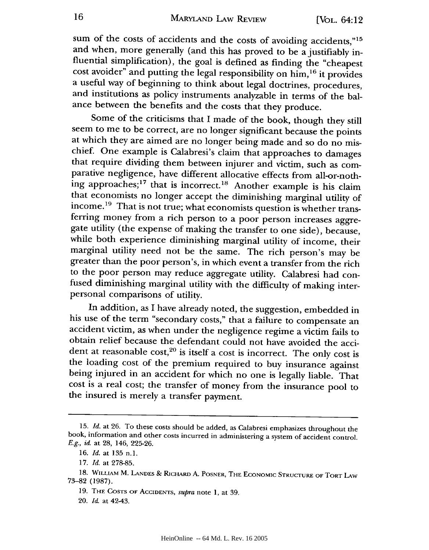sum of the costs of accidents and the costs of avoiding accidents,"<sup>15</sup> and when, more generally (and this has proved to be a justifiably influential simplification), the goal is defined as finding the "cheapest cost avoider" and putting the legal responsibility on him,16 it provides a useful way of beginning to think about legal doctrines, procedures, and institutions as policy instruments analyzable in terms of the balance between the benefits and the costs that they produce.

Some of the criticisms that I made of the book, though they still seem to me to be correct, are no longer significant because the points at which they are aimed are no longer being made and so do no mischief. One example is Calabresi's claim that approaches to damages that require dividing them between injurer and victim, such as comparative negligence, have different allocative effects from all-or-nothing approaches;<sup>17</sup> that is incorrect.<sup>18</sup> Another example is his claim that economists no longer accept the diminishing marginal utility of income.<sup>19</sup> That is not true; what economists question is whether transferring money from a rich person to a poor person increases aggre- gate utility (the expense of making the transfer to one side), because, while both experience diminishing marginal utility of income, their marginal utility need not be the same. The rich person's may be greater than the poor person's, in which event a transfer from the rich to the poor person may reduce aggregate utility. Calabresi had confused diminishing marginal utility with the difficulty of making interpersonal comparisons of utility.

In addition, as I have already noted, the suggestion, embedded in his use of the term "secondary costs," that a failure to compensate an accident victim, as when under the negligence regime a victim fails to obtain relief because the defendant could not have avoided the accident at reasonable cost, $20$  is itself a cost is incorrect. The only cost is the loading cost of the premium required to buy insurance against being injured in an accident for which no one is legally liable. That cost is a real cost; the transfer of money from the insurance pool to the insured is merely a transfer payment.

<sup>15.</sup> *Id.* at 26. To these costs should be added, as Calabresi emphasizes throughout the book, information and other costs incurred in administering a system of accident control. *E.g., id.* at 28, 146, 225-26.

<sup>16.</sup> *Id.* at 135 n.1.

<sup>17.</sup> *Id.* at 278-85.

<sup>18.</sup> WILLIAM M. LANDES **&** RICHARD A. POSNER, THE ECONOMIC STRUCTURE OF TORT LAW 73-82 (1987).

<sup>19.</sup> THE COSTS OF ACCIDENTS, *supra* note **1,** at 39.

<sup>20.</sup> *Id,* at 42-43.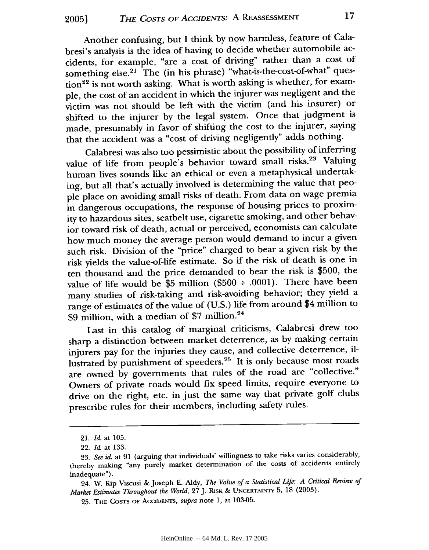Another confusing, but **I** think by now harmless, feature of Calabresi's analysis is the idea of having to decide whether automobile accidents, for example, "are a cost of driving" rather than a cost of something else.<sup>21</sup> The (in his phrase) "what-is-the-cost-of-what" question<sup>22</sup> is not worth asking. What is worth asking is whether, for example, the cost of an accident in which the injurer was negligent and the victim was not should be left with the victim (and his insurer) or shifted to the injurer **by** the legal system. Once that judgment is made, presumably in favor of shifting the cost to the injurer, saying that the accident was a "cost of driving negligently" adds nothing.

Calabresi was also too pessimistic about the possibility of inferring value of life from people's behavior toward small risks.<sup>23</sup> Valuing human lives sounds like an ethical or even a metaphysical undertaking, but all that's actually involved is determining the value that people place on avoiding small risks of death. From data on wage premia in dangerous occupations, the response of housing prices to proximity to hazardous sites, seatbelt use, cigarette smoking, and other behavior toward risk of death, actual or perceived, economists can calculate how much money the average person would demand to incur a given such risk. Division of the "price" charged to bear a given risk **by** the risk yields the value-of-life estimate. So if the risk of death is one in ten thousand and the price demanded to bear the risk is **\$500,** the value of life would be \$5 million **(\$500 + .0001).** There have been many studies of risk-taking and risk-avoiding behavior; they yield a range of estimates of the value of **(U.S.)** life from around \$4 million to **\$9** million, with a median of **\$7** million.<sup>24</sup>

Last in this catalog of marginal criticisms, Calabresi drew too sharp a distinction between market deterrence, as **by** making certain injurers pay for the injuries they cause, and collective deterrence, illustrated **by** punishment of speeders.25 It is only because most roads are owned **by** governments that rules of the road are "collective." Owners of private roads would fix speed limits, require everyone to drive on the right, etc. in just the same way that private golf clubs prescribe rules for their members, including safety rules.

<sup>21.</sup> *Id.* at **105.**

<sup>22.</sup> *Id.* at **133.**

**<sup>23.</sup>** *See id.* at **91** (arguing that individuals' willingness to take risks varies considerably, thereby making "any purely market determination of the costs of accidents entirely inadequate").

<sup>24.</sup> W. Kip Viscusi **&** Joseph **E. Aldy,** *The Value of a Statistical Life: A Critical Review of Market Estimates Throughout the World,* **27J.** RISK & **UNCERTAINTY** 5, **18** (2003).

<sup>25.</sup> THE **COSTS** OF ACCIDENTS, *supra* note 1, at 103-05.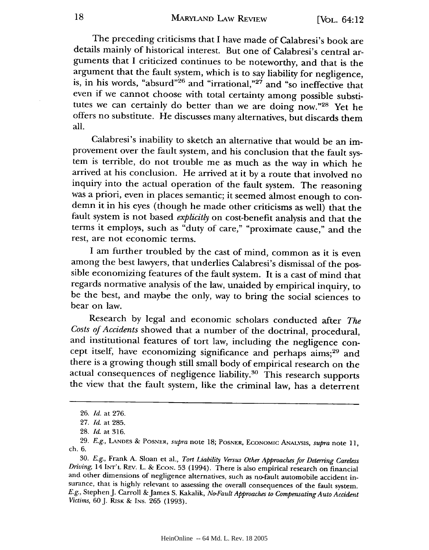The preceding criticisms that I have made of Calabresi's book are details mainly of historical interest. But one of Calabresi's central arguments that I criticized continues to be noteworthy, and that is the argument that the fault system, which is to say liability for negligence, is, in his words, "absurd"<sup>26</sup> and "irrational,"<sup>27</sup> and "so ineffective that even if we cannot choose with total certainty among possible substitutes we can certainly do better than we are doing now."28 Yet he offers no substitute. He discusses many alternatives, but discards them all.

Calabresi's inability to sketch an alternative that would be an improvement over the fault system, and his conclusion that the fault system is terrible, do not trouble me as much as the way in which he arrived at his conclusion. He arrived at it by a route that involved no inquiry into the actual operation of the fault system. The reasoning was a priori, even in places semantic; it seemed almost enough to condemn it in his eyes (though he made other criticisms as well) that the fault system is not based *explicitly* on cost-benefit analysis and that the terms it employs, such as "duty of care," "proximate cause," and the rest, are not economic terms.

I am further troubled by the cast of mind, common as it is even among the best lawyers, that underlies Calabresi's dismissal of the possible economizing features of the fault system. It is a cast of mind that regards normative analysis of the law, unaided by empirical inquiry, to be the best, and maybe the only, way to bring the social sciences to bear on law.

Research by legal and economic scholars conducted after *The Costs of Accidents* showed that a number of the doctrinal, procedural, and institutional features of tort law, including the negligence concept itself, have economizing significance and perhaps aims;29 and there is a growing though still small body of empirical research on the actual consequences of negligence liability.<sup>30</sup> This research supports the view that the fault system, like the criminal law, has a deterrent

<sup>26.</sup> *Id.* at 276.

<sup>27.</sup> *Id.* at 285.

<sup>28.</sup> *Id.* at 316.

<sup>29.</sup> *E.g.,* **LANDES &** POSNER, *supra* note 18; POSNER, **ECONOMIC** ANALYSIS, *supra* note **11,** ch. 6.

<sup>30.</sup> *E.g.,* Frank **A.** Sloan et al., *Tort Liability Versus Other Approaches for Deterring Careless Driving,* 14 INT'L REv. L. **& ECON.** 53 (1994). There is also empirical research on financial and other dimensions of negligence alternatives, such as no-fault automobile accident insurance, that is highly relevant to assessing the overall consequences of the fault system. *E.g.,* StephenJ. Carroll &James S. Kakalik, *No-Fault Approaches to Compensating Auto Accident Victims,* 60J. RISK & INS. 265 (1993).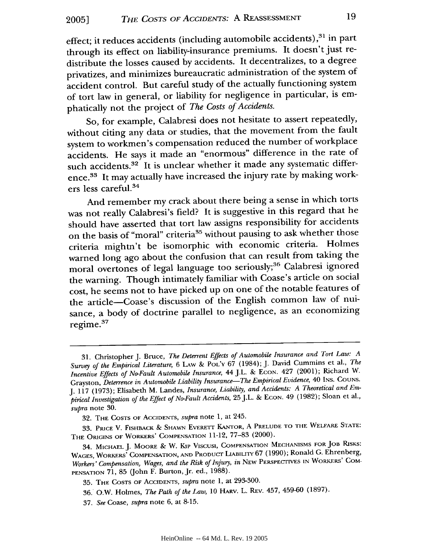effect; it reduces accidents (including automobile accidents),<sup>31</sup> in part through its effect on liability-insurance premiums. It doesn't just redistribute the losses caused by accidents. It decentralizes, to a degree privatizes, and minimizes bureaucratic administration of the system of accident control. But careful study of the actually functioning system of tort law in general, or liability for negligence in particular, is emphatically not the project of *The Costs of Accidents.*

So, for example, Calabresi does not hesitate to assert repeatedly, without citing any data or studies, that the movement from the fault system to workmen's compensation reduced the number of workplace accidents. He says it made an "enormous" difference in the rate of such accidents.<sup>32</sup> It is unclear whether it made any systematic difference.<sup>33</sup> It may actually have increased the injury rate by making workers less careful.<sup>34</sup>

And remember my crack about there being a sense in which torts was not really Calabresi's field? It is suggestive in this regard that he should have asserted that tort law assigns responsibility for accidents on the basis of "moral" criteria<sup>35</sup> without pausing to ask whether those criteria mightn't be isomorphic with economic criteria. Holmes warned long ago about the confusion that can result from taking the moral overtones of legal language too seriously;<sup>36</sup> Calabresi ignored the warning. Though intimately familiar with Coase's article on social cost, he seems not to have picked up on one of the notable features of the article-Coase's discussion of the English common law of nuisance, a body of doctrine parallel to negligence, as an economizing regime. $37$ 

**<sup>31.</sup>** Christopher **J.** Bruce, *The Deterrent Effects of Automobile Insurance and Tort Law: A Survey of the Empirical Literature,* 6 **LAW** & **POL'Y** 67 (1984); **J.** David Cummins et al., *The Incentive Effects of No-Fault Automobile Insurance,* 44 J.L. & ECON. 427 (2001); Richard W. Grayston, *Deterrence in Automobile Liability Insurance-The Empirical Evidence,* 40 INS. COUNS. J. 117 (1973); Elisabeth M. Landes, *Insurance, Liability, and Accidents: A Theoretical and Empirical Investigation of the Effect of No-Fault Accidents,* 25 J.L. & **ECON.** 49 (1982); Sloan et al., *supra* note 30.

<sup>32.</sup> **THE COSTS OF** ACCIDENTS, *supra* note 1, at 245.

<sup>33.</sup> **PRICE** V. FISHBACK *&* **SHAWN** EvERETr **KANTOR, A PRELUDE** TO **THE WELFARE STATE: THE ORIGINS OF** WORKERS' COMPENSATION 11-12, **77-83** (2000).

<sup>34.</sup> MICHAEL J. MOORE & W. Kip **VisCUSI, COMPENSATION MECHANISMS** FOR **JOB** RISKS: **WAGES,** WORKERS' COMPENSATION, **AND PRODUCT** LIAILrY 67 (1990); Ronald G. Ehrenberg, *Workers' Compensation, Wages, and the Risk of Injury, in* **NEW** PERSPECTIvES **IN** WORKERS' COM-**PENSATION** 71, 85 (John F. Burton, Jr. ed., 1988).

<sup>35.</sup> **THE COSTS** OF ACCIDENTS, *supra* note 1, at 293-300.

<sup>36.</sup> O.W. Holmes, *The Path of the Law,* 10 HARv. L. REv. 457, 459-60 (1897).

<sup>37.</sup> *See* Coase, *supra* note 6, at 8-15.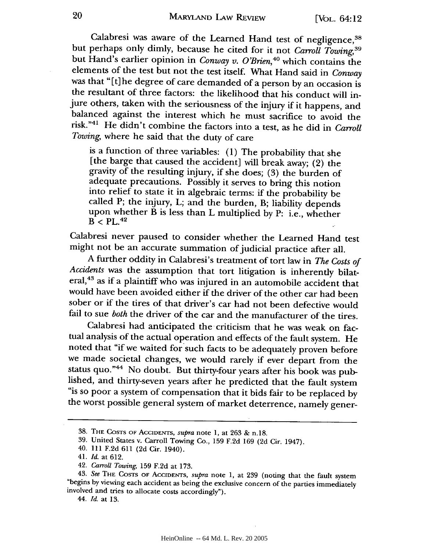Calabresi was aware of the Learned Hand test of negligence,<sup>38</sup> but perhaps only dimly, because he cited for it not *Carroll Towing,39* but Hand's earlier opinion in *Conway v. O'Brien,40* which contains the elements of the test but not the test itself. What Hand said in *Conway* was that "[t] he degree of care demanded of a person by an occasion is the resultant of three factors: the likelihood that his conduct will injure others, taken with the seriousness of the injury if it happens, and balanced against the interest which he must sacrifice to avoid the risk."41 He didn't combine the factors into a test, as he did in *Carroll Towing,* where he said that the duty of care

is a function of three variables: (1) The probability that she [the barge that caused the accident] will break away; (2) the gravity of the resulting injury, if she does; (3) the burden of adequate precautions. Possibly it serves to bring this notion into relief to state it in algebraic terms: if the probability be called P; the injury, L; and the burden, B; liability depends upon whether B is less than L multiplied by P: i.e., whether  $B < PL.<sup>42</sup>$ 

Calabresi never paused to consider whether the Learned Hand test might not be an accurate summation of judicial practice after all.

A further oddity in Calabresi's treatment of tort law in *The Costs of Accidents* was the assumption that tort litigation is inherently bilateral,<sup>43</sup> as if a plaintiff who was injured in an automobile accident that would have been avoided either if the driver of the other car had been sober or if the tires of that driver's car had not been defective would fail to sue *both* the driver of the car and the manufacturer of the tires.

Calabresi had anticipated the-criticism that he was weak on factual analysis of the actual operation and effects of the fault system. He noted that "if we waited for such facts to be adequately proven before we made societal changes, we would rarely if ever depart from the status quo."<sup>44</sup> No doubt. But thirty-four years after his book was pub-<br>lished, and thirty-seven years after he predicted that the fault system<br>"is so poor a system of compensation that it bids fair to be replaced by<br>the

44. *Id.* at 13.

**<sup>38.</sup>** THE **COSTS** OF ACCIDENTS, *supra* note 1, at 263 & n.18.

<sup>39.</sup> United States v. Carroll Towing Co., 159 F.2d 169 (2d Cir. 1947).

<sup>40. 111</sup> F.2d 611 (2d Cir. 1940).

<sup>41.</sup> *Id.* at 612.

<sup>42.</sup> *Carroll Towing,* 159 F.2d at 173.

<sup>43.</sup> See THE COSTS OF ACCIDENTS, supra note 1, at 239 (noting that the fault system "begins by viewing each accident as being the exclusive concern of the parties immediately involved and tries to allocate costs accordingly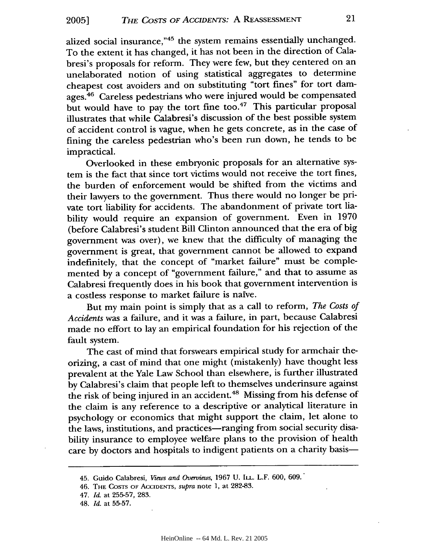alized social insurance,"45 the system remains essentially unchanged. To the extent it has changed, it has not been in the direction of Calabresi's proposals for reform. They were few, but they centered on an unelaborated notion of using statistical aggregates to determine cheapest cost avoiders and on substituting "tort fines" for tort damages.46 Careless pedestrians who were injured would be compensated but would have to pay the tort fine too.<sup>47</sup> This particular proposal illustrates that while Calabresi's discussion of the best possible system of accident control is vague, when he gets concrete, as in the case of fining the careless pedestrian who's been run down, he tends to be impractical.

Overlooked in these embryonic proposals for an alternative system is the fact that since tort victims would not receive the tort fines, the burden of enforcement would be shifted from the victims and their lawyers to the government. Thus there would no longer be private tort liability for accidents. The abandonment of private tort liability would require an expansion of government. Even in 1970 (before Calabresi's student Bill Clinton announced that the era of big government was over), we knew that the difficulty of managing the government is great, that government cannot be allowed to expand indefinitely, that the concept of "market failure" must be complemented by a concept of "government failure," and that to assume as Calabresi frequently does in his book that government intervention is a costless response to market failure is naive.

But my main point is simply that as a call to reform, *The Costs of Accidents* was a failure, and it was a failure, in part, because Calabresi made no effort to lay an empirical foundation for his rejection of the fault system.

The cast of mind that forswears empirical study for armchair theorizing, a cast of mind that one might (mistakenly) have thought less prevalent at the Yale Law School than elsewhere, is further illustrated by Calabresi's claim that people left to themselves underinsure against the risk of being injured in an accident. 48 Missing from his defense of the claim is any reference to a descriptive or analytical literature in psychology or economics that might support the claim, let alone to the laws, institutions, and practices—ranging from social security disability insurance to employee welfare plans to the provision of health care by doctors and hospitals to indigent patients on a charity basis-

<sup>45.</sup> Guido Calabresi, *Views and Overviews,* 1967 U. ILL. L.F. 600, 609.

<sup>46.</sup> THE **COSTS** OF AccIDENTS, *supra* note 1, at 282-83.

<sup>47.</sup> *Id.* at 255-57, 283.

<sup>48.</sup> *Id.* at 55-57.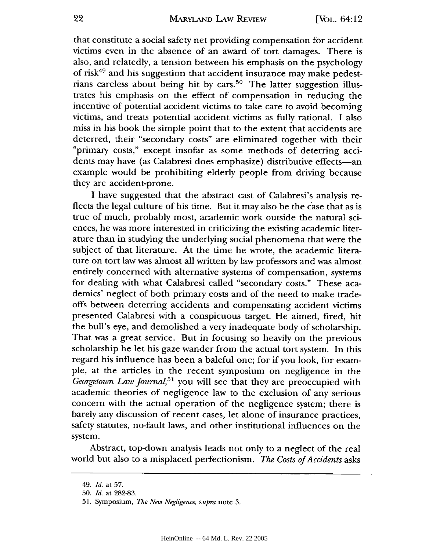#### MARYLAND LAW REVIEW

that constitute a social safety net providing compensation for accident victims even in the absence of an award of tort damages. There is also, and relatedly, a tension between his emphasis on the psychology of risk49 and his suggestion that accident insurance may make pedestrians careless about being hit by cars.<sup>50</sup> The latter suggestion illustrates his emphasis on the effect of compensation in reducing the incentive of potential accident victims to take care to avoid becoming victims, and treats potential accident victims as fully rational. I also miss in his book the simple point that to the extent that accidents are deterred, their "secondary costs" are eliminated together with their "primary costs," except insofar as some methods of deterring accidents may have (as Calabresi does emphasize) distributive effects—an example would be prohibiting elderly people from driving because they are accident-prone.

I have suggested that the abstract cast of Calabresi's analysis reflects the legal culture of his time. But it may also be the case that as is true of much, probably most, academic work outside the natural sciences, he was more interested in criticizing the existing academic literature than in studying the underlying social phenomena that were the subject of that literature. At the time he wrote, the academic literature on tort law was almost all written by law professors and was almost entirely concerned with alternative systems of compensation, systems for dealing with what Calabresi called "secondary costs." These academics' neglect of both primary costs and of the need to make tradeoffs between deterring accidents and compensating accident victims presented Calabresi with a conspicuous target. He aimed, fired, hit the bull's eye, and demolished a very inadequate body of scholarship. That was a great service. But in focusing so heavily on the previous scholarship he let his gaze wander from the actual tort system. In this regard his influence has been a baleful one; for if you look, for example, at the articles in the recent symposium on negligence in the *Georgetown Law Journal,51* you will see that they are preoccupied with academic theories of negligence law to the exclusion of any serious concern with the actual operation of the negligence system; there is barely any discussion of recent cases, let alone of insurance practices, safety statutes, no-fault laws, and other institutional influences on the system.

Abstract, top-down analysis leads not only to a neglect of the real world but also to a misplaced perfectionism. *The Costs of Accidents* asks

<sup>49.</sup> *Id.* at 57.

<sup>50.</sup> *Id.* at 282-83.

<sup>51.</sup> Symposium, *The New Negligence, supra* note 3.